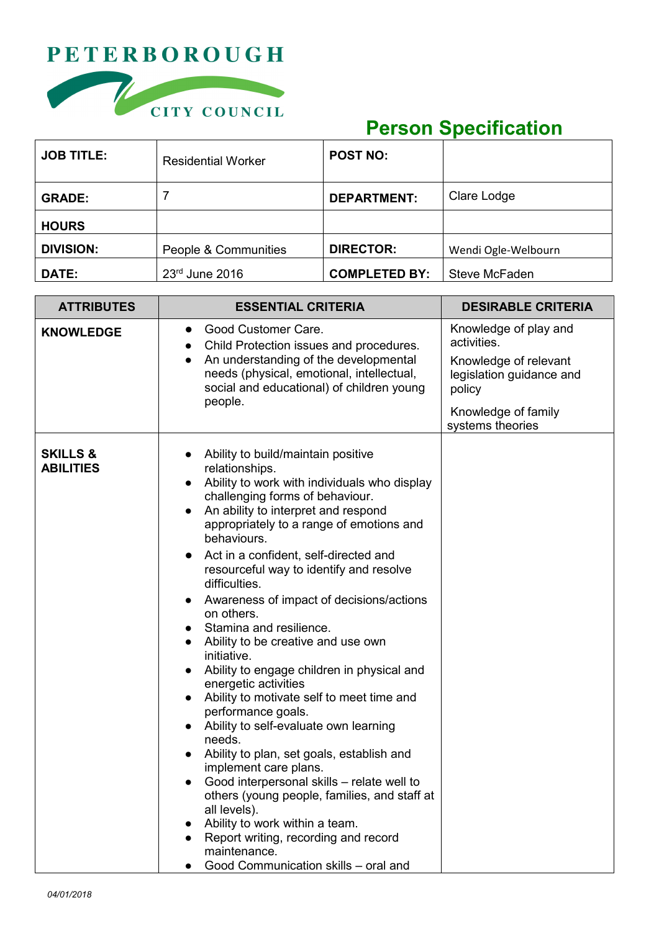## **PETERBOROUGH**



## **Person Specification**

| <b>JOB TITLE:</b> | <b>Residential Worker</b> | <b>POST NO:</b>      |                     |
|-------------------|---------------------------|----------------------|---------------------|
| <b>GRADE:</b>     |                           | <b>DEPARTMENT:</b>   | Clare Lodge         |
| <b>HOURS</b>      |                           |                      |                     |
| <b>DIVISION:</b>  | People & Communities      | <b>DIRECTOR:</b>     | Wendi Ogle-Welbourn |
| <b>DATE:</b>      | 23rd June 2016            | <b>COMPLETED BY:</b> | Steve McFaden       |

| <b>ATTRIBUTES</b>                       | <b>ESSENTIAL CRITERIA</b>                                                                                                                                                                                                                                                                                                                                                                                                                                                                                                                                                                                                                                                                                                                                                                                                                                                                                                                                                                                                                                                                             | <b>DESIRABLE CRITERIA</b>                                                                                                                      |
|-----------------------------------------|-------------------------------------------------------------------------------------------------------------------------------------------------------------------------------------------------------------------------------------------------------------------------------------------------------------------------------------------------------------------------------------------------------------------------------------------------------------------------------------------------------------------------------------------------------------------------------------------------------------------------------------------------------------------------------------------------------------------------------------------------------------------------------------------------------------------------------------------------------------------------------------------------------------------------------------------------------------------------------------------------------------------------------------------------------------------------------------------------------|------------------------------------------------------------------------------------------------------------------------------------------------|
| <b>KNOWLEDGE</b>                        | Good Customer Care.<br>$\bullet$<br>Child Protection issues and procedures.<br>$\bullet$<br>An understanding of the developmental<br>needs (physical, emotional, intellectual,<br>social and educational) of children young<br>people.                                                                                                                                                                                                                                                                                                                                                                                                                                                                                                                                                                                                                                                                                                                                                                                                                                                                | Knowledge of play and<br>activities.<br>Knowledge of relevant<br>legislation guidance and<br>policy<br>Knowledge of family<br>systems theories |
| <b>SKILLS &amp;</b><br><b>ABILITIES</b> | Ability to build/maintain positive<br>$\bullet$<br>relationships.<br>Ability to work with individuals who display<br>challenging forms of behaviour.<br>An ability to interpret and respond<br>appropriately to a range of emotions and<br>behaviours.<br>Act in a confident, self-directed and<br>$\bullet$<br>resourceful way to identify and resolve<br>difficulties.<br>Awareness of impact of decisions/actions<br>on others.<br>Stamina and resilience.<br>Ability to be creative and use own<br>initiative.<br>Ability to engage children in physical and<br>energetic activities<br>Ability to motivate self to meet time and<br>performance goals.<br>Ability to self-evaluate own learning<br>$\bullet$<br>needs.<br>Ability to plan, set goals, establish and<br>implement care plans.<br>Good interpersonal skills - relate well to<br>$\bullet$<br>others (young people, families, and staff at<br>all levels).<br>Ability to work within a team.<br>$\bullet$<br>Report writing, recording and record<br>$\bullet$<br>maintenance.<br>Good Communication skills - oral and<br>$\bullet$ |                                                                                                                                                |